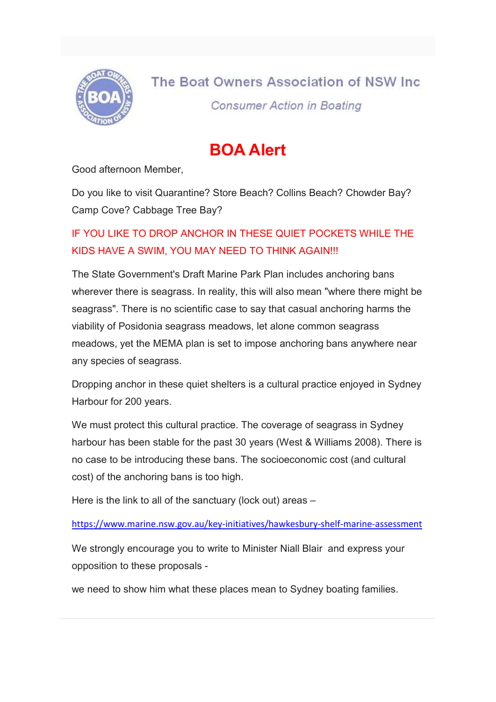

## The Boat Owners Association of NSW Inc

**Consumer Action in Boating** 

## BOA Alert

Good afternoon Member,

Do you like to visit Quarantine? Store Beach? Collins Beach? Chowder Bay? Camp Cove? Cabbage Tree Bay?

## IF YOU LIKE TO DROP ANCHOR IN THESE QUIET POCKETS WHILE THE KIDS HAVE A SWIM, YOU MAY NEED TO THINK AGAIN!!!

The State Government's Draft Marine Park Plan includes anchoring bans wherever there is seagrass. In reality, this will also mean "where there might be seagrass". There is no scientific case to say that casual anchoring harms the viability of Posidonia seagrass meadows, let alone common seagrass meadows, yet the MEMA plan is set to impose anchoring bans anywhere near any species of seagrass.

Dropping anchor in these quiet shelters is a cultural practice enjoyed in Sydney Harbour for 200 years.

We must protect this cultural practice. The coverage of seagrass in Sydney harbour has been stable for the past 30 years (West & Williams 2008). There is no case to be introducing these bans. The socioeconomic cost (and cultural cost) of the anchoring bans is too high.

Here is the link to all of the sanctuary (lock out) areas –

https://www.marine.nsw.gov.au/key-initiatives/hawkesbury-shelf-marine-assessment

We strongly encourage you to write to Minister Niall Blair and express your opposition to these proposals -

we need to show him what these places mean to Sydney boating families.